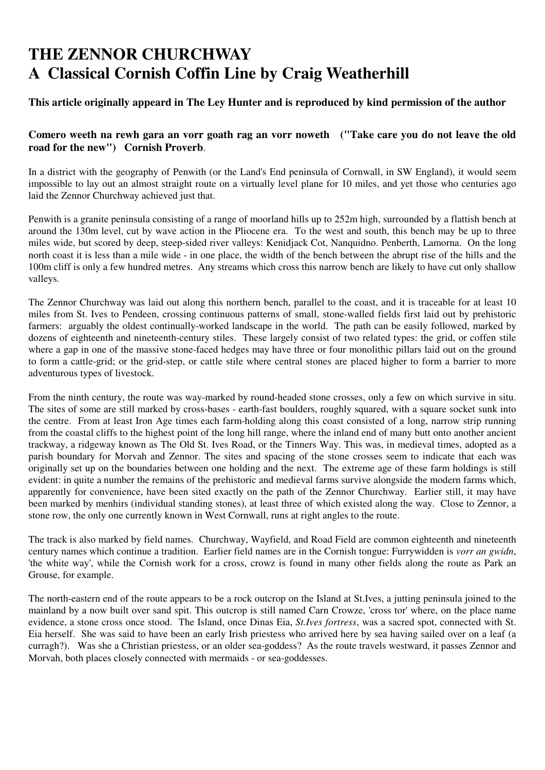## **THE ZENNOR CHURCHWAY A Classical Cornish Coffin Line by Craig Weatherhill**

## **This article originally appeard in The Ley Hunter and is reproduced by kind permission of the author**

## **Comero weeth na rewh gara an vorr goath rag an vorr noweth ("Take care you do not leave the old road for the new") Cornish Proverb**.

In a district with the geography of Penwith (or the Land's End peninsula of Cornwall, in SW England), it would seem impossible to lay out an almost straight route on a virtually level plane for 10 miles, and yet those who centuries ago laid the Zennor Churchway achieved just that.

Penwith is a granite peninsula consisting of a range of moorland hills up to 252m high, surrounded by a flattish bench at around the 130m level, cut by wave action in the Pliocene era. To the west and south, this bench may be up to three miles wide, but scored by deep, steep-sided river valleys: Kenidjack Cot, Nanquidno. Penberth, Lamorna. On the long north coast it is less than a mile wide - in one place, the width of the bench between the abrupt rise of the hills and the 100m cliff is only a few hundred metres. Any streams which cross this narrow bench are likely to have cut only shallow valleys.

The Zennor Churchway was laid out along this northern bench, parallel to the coast, and it is traceable for at least 10 miles from St. Ives to Pendeen, crossing continuous patterns of small, stone-walled fields first laid out by prehistoric farmers: arguably the oldest continually-worked landscape in the world. The path can be easily followed, marked by dozens of eighteenth and nineteenth-century stiles. These largely consist of two related types: the grid, or coffen stile where a gap in one of the massive stone-faced hedges may have three or four monolithic pillars laid out on the ground to form a cattle-grid; or the grid-step, or cattle stile where central stones are placed higher to form a barrier to more adventurous types of livestock.

From the ninth century, the route was way-marked by round-headed stone crosses, only a few on which survive in situ. The sites of some are still marked by cross-bases - earth-fast boulders, roughly squared, with a square socket sunk into the centre. From at least Iron Age times each farm-holding along this coast consisted of a long, narrow strip running from the coastal cliffs to the highest point of the long hill range, where the inland end of many butt onto another ancient trackway, a ridgeway known as The Old St. Ives Road, or the Tinners Way. This was, in medieval times, adopted as a parish boundary for Morvah and Zennor. The sites and spacing of the stone crosses seem to indicate that each was originally set up on the boundaries between one holding and the next. The extreme age of these farm holdings is still evident: in quite a number the remains of the prehistoric and medieval farms survive alongside the modern farms which, apparently for convenience, have been sited exactly on the path of the Zennor Churchway. Earlier still, it may have been marked by menhirs (individual standing stones), at least three of which existed along the way. Close to Zennor, a stone row, the only one currently known in West Cornwall, runs at right angles to the route.

The track is also marked by field names. Churchway, Wayfield, and Road Field are common eighteenth and nineteenth century names which continue a tradition. Earlier field names are in the Cornish tongue: Furrywidden is *vorr an gwidn*, 'the white way', while the Cornish work for a cross, crowz is found in many other fields along the route as Park an Grouse, for example.

The north-eastern end of the route appears to be a rock outcrop on the Island at St.Ives, a jutting peninsula joined to the mainland by a now built over sand spit. This outcrop is still named Carn Crowze, 'cross tor' where, on the place name evidence, a stone cross once stood. The Island, once Dinas Eia, *St.Ives fortress*, was a sacred spot, connected with St. Eia herself. She was said to have been an early Irish priestess who arrived here by sea having sailed over on a leaf (a curragh?). Was she a Christian priestess, or an older sea-goddess? As the route travels westward, it passes Zennor and Morvah, both places closely connected with mermaids - or sea-goddesses.